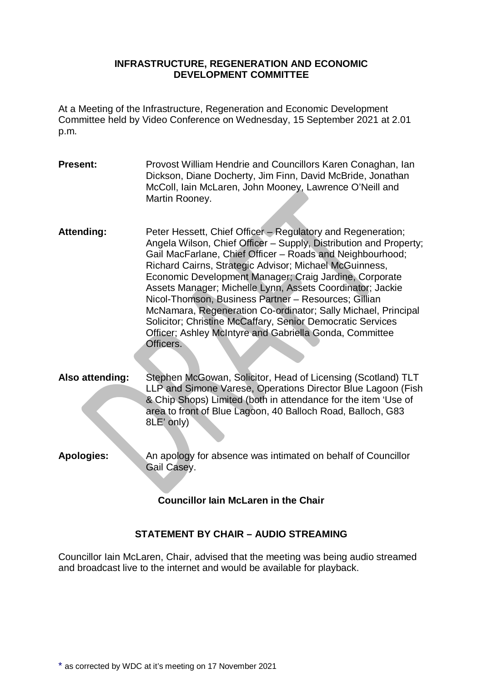#### **INFRASTRUCTURE, REGENERATION AND ECONOMIC DEVELOPMENT COMMITTEE**

At a Meeting of the Infrastructure, Regeneration and Economic Development Committee held by Video Conference on Wednesday, 15 September 2021 at 2.01 p.m.

- **Present:** Provost William Hendrie and Councillors Karen Conaghan, Ian Dickson, Diane Docherty, Jim Finn, David McBride, Jonathan McColl, Iain McLaren, John Mooney, Lawrence O'Neill and Martin Rooney.
- **Attending:** Peter Hessett, Chief Officer Regulatory and Regeneration; Angela Wilson, Chief Officer – Supply, Distribution and Property; Gail MacFarlane, Chief Officer – Roads and Neighbourhood; Richard Cairns, Strategic Advisor; Michael McGuinness, Economic Development Manager; Craig Jardine, Corporate Assets Manager; Michelle Lynn, Assets Coordinator; Jackie Nicol-Thomson, Business Partner – Resources; Gillian McNamara, Regeneration Co-ordinator; Sally Michael, Principal Solicitor; Christine McCaffary, Senior Democratic Services Officer; Ashley McIntyre and Gabriella Gonda, Committee Officers.
- **Also attending:** Stephen McGowan, Solicitor, Head of Licensing (Scotland) TLT LLP and Simone Varese, Operations Director Blue Lagoon (Fish & Chip Shops) Limited (both in attendance for the item 'Use of area to front of Blue Lagoon, 40 Balloch Road, Balloch, G83 8LE' only)
- **Apologies:** An apology for absence was intimated on behalf of Councillor Gail Casey.

# **Councillor Iain McLaren in the Chair**

# **STATEMENT BY CHAIR – AUDIO STREAMING**

Councillor Iain McLaren, Chair, advised that the meeting was being audio streamed and broadcast live to the internet and would be available for playback.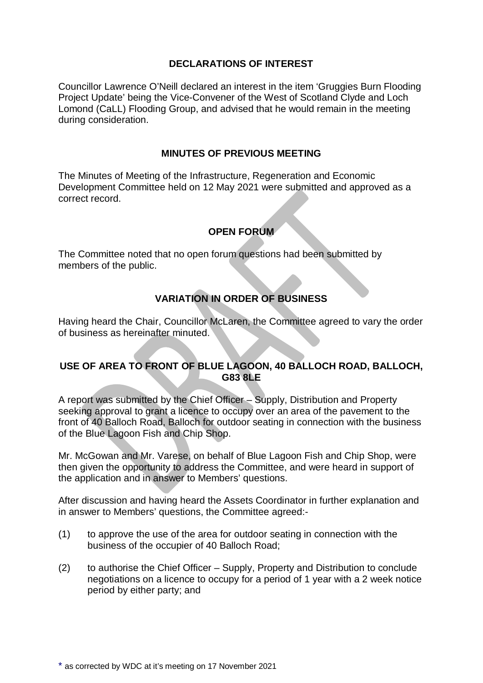### **DECLARATIONS OF INTEREST**

Councillor Lawrence O'Neill declared an interest in the item 'Gruggies Burn Flooding Project Update' being the Vice-Convener of the West of Scotland Clyde and Loch Lomond (CaLL) Flooding Group, and advised that he would remain in the meeting during consideration.

### **MINUTES OF PREVIOUS MEETING**

The Minutes of Meeting of the Infrastructure, Regeneration and Economic Development Committee held on 12 May 2021 were submitted and approved as a correct record.

# **OPEN FORUM**

The Committee noted that no open forum questions had been submitted by members of the public.

# **VARIATION IN ORDER OF BUSINESS**

Having heard the Chair, Councillor McLaren, the Committee agreed to vary the order of business as hereinafter minuted.

# **USE OF AREA TO FRONT OF BLUE LAGOON, 40 BALLOCH ROAD, BALLOCH, G83 8LE**

A report was submitted by the Chief Officer – Supply, Distribution and Property seeking approval to grant a licence to occupy over an area of the pavement to the front of 40 Balloch Road, Balloch for outdoor seating in connection with the business of the Blue Lagoon Fish and Chip Shop.

Mr. McGowan and Mr. Varese, on behalf of Blue Lagoon Fish and Chip Shop, were then given the opportunity to address the Committee, and were heard in support of the application and in answer to Members' questions.

After discussion and having heard the Assets Coordinator in further explanation and in answer to Members' questions, the Committee agreed:-

- (1) to approve the use of the area for outdoor seating in connection with the business of the occupier of 40 Balloch Road;
- (2) to authorise the Chief Officer Supply, Property and Distribution to conclude negotiations on a licence to occupy for a period of 1 year with a 2 week notice period by either party; and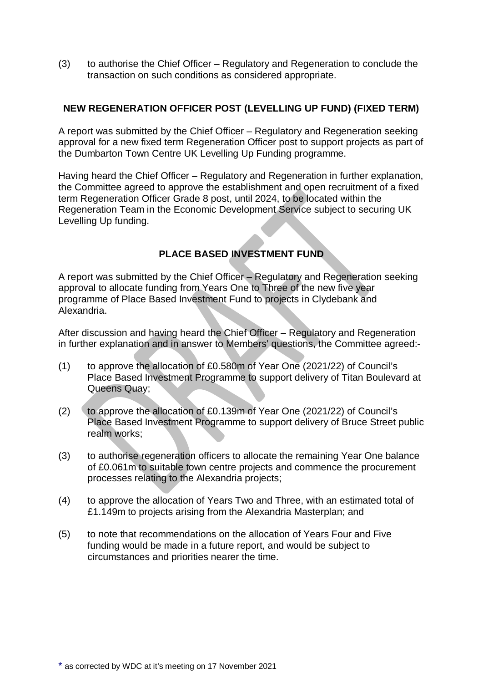(3) to authorise the Chief Officer – Regulatory and Regeneration to conclude the transaction on such conditions as considered appropriate.

## **NEW REGENERATION OFFICER POST (LEVELLING UP FUND) (FIXED TERM)**

A report was submitted by the Chief Officer – Regulatory and Regeneration seeking approval for a new fixed term Regeneration Officer post to support projects as part of the Dumbarton Town Centre UK Levelling Up Funding programme.

Having heard the Chief Officer – Regulatory and Regeneration in further explanation, the Committee agreed to approve the establishment and open recruitment of a fixed term Regeneration Officer Grade 8 post, until 2024, to be located within the Regeneration Team in the Economic Development Service subject to securing UK Levelling Up funding.

# **PLACE BASED INVESTMENT FUND**

A report was submitted by the Chief Officer – Regulatory and Regeneration seeking approval to allocate funding from Years One to Three of the new five year programme of Place Based Investment Fund to projects in Clydebank and Alexandria.

After discussion and having heard the Chief Officer – Regulatory and Regeneration in further explanation and in answer to Members' questions, the Committee agreed:-

- (1) to approve the allocation of £0.580m of Year One (2021/22) of Council's Place Based Investment Programme to support delivery of Titan Boulevard at Queens Quay;
- (2) to approve the allocation of £0.139m of Year One (2021/22) of Council's Place Based Investment Programme to support delivery of Bruce Street public realm works;
- (3) to authorise regeneration officers to allocate the remaining Year One balance of £0.061m to suitable town centre projects and commence the procurement processes relating to the Alexandria projects;
- (4) to approve the allocation of Years Two and Three, with an estimated total of £1.149m to projects arising from the Alexandria Masterplan; and
- (5) to note that recommendations on the allocation of Years Four and Five funding would be made in a future report, and would be subject to circumstances and priorities nearer the time.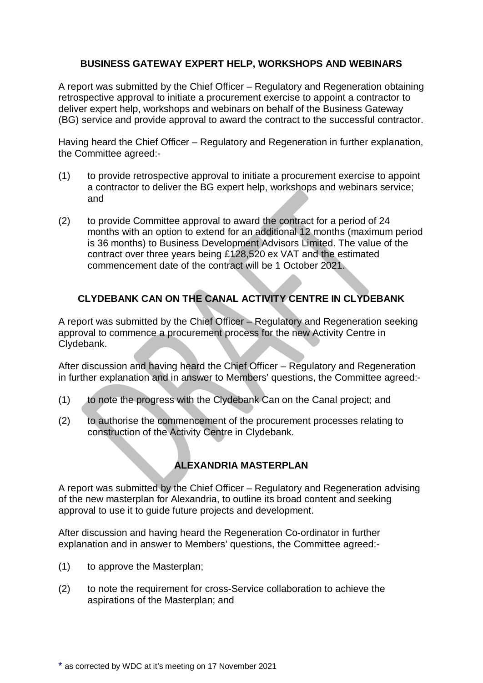## **BUSINESS GATEWAY EXPERT HELP, WORKSHOPS AND WEBINARS**

A report was submitted by the Chief Officer – Regulatory and Regeneration obtaining retrospective approval to initiate a procurement exercise to appoint a contractor to deliver expert help, workshops and webinars on behalf of the Business Gateway (BG) service and provide approval to award the contract to the successful contractor.

Having heard the Chief Officer – Regulatory and Regeneration in further explanation, the Committee agreed:-

- (1) to provide retrospective approval to initiate a procurement exercise to appoint a contractor to deliver the BG expert help, workshops and webinars service; and
- (2) to provide Committee approval to award the contract for a period of 24 months with an option to extend for an additional 12 months (maximum period is 36 months) to Business Development Advisors Limited. The value of the contract over three years being £128,520 ex VAT and the estimated commencement date of the contract will be 1 October 2021.

# **CLYDEBANK CAN ON THE CANAL ACTIVITY CENTRE IN CLYDEBANK**

A report was submitted by the Chief Officer – Regulatory and Regeneration seeking approval to commence a procurement process for the new Activity Centre in Clydebank.

After discussion and having heard the Chief Officer – Regulatory and Regeneration in further explanation and in answer to Members' questions, the Committee agreed:-

- (1) to note the progress with the Clydebank Can on the Canal project; and
- (2) to authorise the commencement of the procurement processes relating to construction of the Activity Centre in Clydebank.

# **ALEXANDRIA MASTERPLAN**

A report was submitted by the Chief Officer – Regulatory and Regeneration advising of the new masterplan for Alexandria, to outline its broad content and seeking approval to use it to guide future projects and development.

After discussion and having heard the Regeneration Co-ordinator in further explanation and in answer to Members' questions, the Committee agreed:-

- (1) to approve the Masterplan;
- (2) to note the requirement for cross-Service collaboration to achieve the aspirations of the Masterplan; and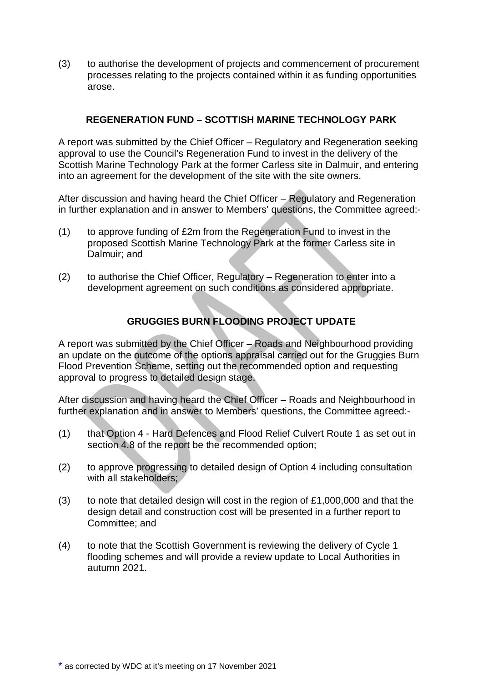(3) to authorise the development of projects and commencement of procurement processes relating to the projects contained within it as funding opportunities arose.

## **REGENERATION FUND – SCOTTISH MARINE TECHNOLOGY PARK**

A report was submitted by the Chief Officer – Regulatory and Regeneration seeking approval to use the Council's Regeneration Fund to invest in the delivery of the Scottish Marine Technology Park at the former Carless site in Dalmuir, and entering into an agreement for the development of the site with the site owners.

After discussion and having heard the Chief Officer – Regulatory and Regeneration in further explanation and in answer to Members' questions, the Committee agreed:-

- (1) to approve funding of £2m from the Regeneration Fund to invest in the proposed Scottish Marine Technology Park at the former Carless site in Dalmuir; and
- (2) to authorise the Chief Officer, Regulatory Regeneration to enter into a development agreement on such conditions as considered appropriate.

# **GRUGGIES BURN FLOODING PROJECT UPDATE**

A report was submitted by the Chief Officer – Roads and Neighbourhood providing an update on the outcome of the options appraisal carried out for the Gruggies Burn Flood Prevention Scheme, setting out the recommended option and requesting approval to progress to detailed design stage.

After discussion and having heard the Chief Officer – Roads and Neighbourhood in further explanation and in answer to Members' questions, the Committee agreed:-

- (1) that Option 4 Hard Defences and Flood Relief Culvert Route 1 as set out in section 4.8 of the report be the recommended option;
- (2) to approve progressing to detailed design of Option 4 including consultation with all stakeholders;
- (3) to note that detailed design will cost in the region of  $£1,000,000$  and that the design detail and construction cost will be presented in a further report to Committee; and
- (4) to note that the Scottish Government is reviewing the delivery of Cycle 1 flooding schemes and will provide a review update to Local Authorities in autumn 2021.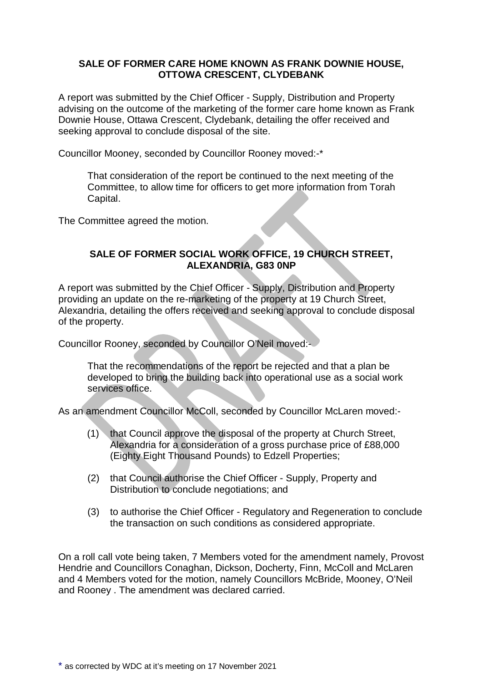### **SALE OF FORMER CARE HOME KNOWN AS FRANK DOWNIE HOUSE, OTTOWA CRESCENT, CLYDEBANK**

A report was submitted by the Chief Officer - Supply, Distribution and Property advising on the outcome of the marketing of the former care home known as Frank Downie House, Ottawa Crescent, Clydebank, detailing the offer received and seeking approval to conclude disposal of the site.

Councillor Mooney, seconded by Councillor Rooney moved:-\*

That consideration of the report be continued to the next meeting of the Committee, to allow time for officers to get more information from Torah Capital.

The Committee agreed the motion.

### **SALE OF FORMER SOCIAL WORK OFFICE, 19 CHURCH STREET, ALEXANDRIA, G83 0NP**

A report was submitted by the Chief Officer - Supply, Distribution and Property providing an update on the re-marketing of the property at 19 Church Street, Alexandria, detailing the offers received and seeking approval to conclude disposal of the property.

Councillor Rooney, seconded by Councillor O'Neil moved:-

That the recommendations of the report be rejected and that a plan be developed to bring the building back into operational use as a social work services office.

As an amendment Councillor McColl, seconded by Councillor McLaren moved:-

- (1) that Council approve the disposal of the property at Church Street, Alexandria for a consideration of a gross purchase price of £88,000 (Eighty Eight Thousand Pounds) to Edzell Properties;
- (2) that Council authorise the Chief Officer Supply, Property and Distribution to conclude negotiations; and
- (3) to authorise the Chief Officer Regulatory and Regeneration to conclude the transaction on such conditions as considered appropriate.

On a roll call vote being taken, 7 Members voted for the amendment namely, Provost Hendrie and Councillors Conaghan, Dickson, Docherty, Finn, McColl and McLaren and 4 Members voted for the motion, namely Councillors McBride, Mooney, O'Neil and Rooney . The amendment was declared carried.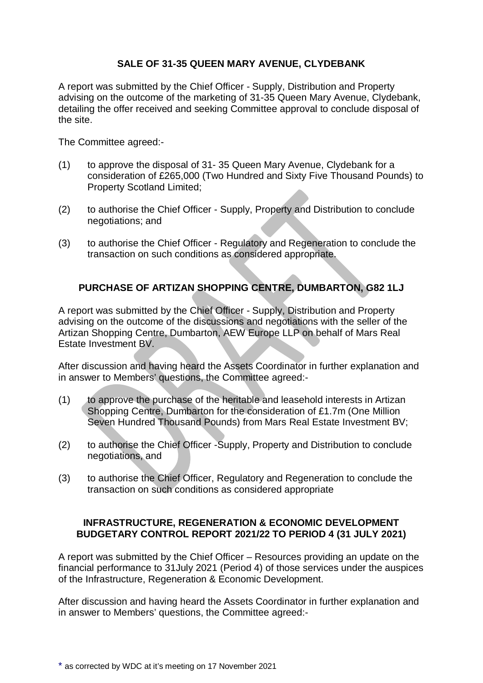## **SALE OF 31-35 QUEEN MARY AVENUE, CLYDEBANK**

A report was submitted by the Chief Officer - Supply, Distribution and Property advising on the outcome of the marketing of 31-35 Queen Mary Avenue, Clydebank, detailing the offer received and seeking Committee approval to conclude disposal of the site.

The Committee agreed:-

- (1) to approve the disposal of 31- 35 Queen Mary Avenue, Clydebank for a consideration of £265,000 (Two Hundred and Sixty Five Thousand Pounds) to Property Scotland Limited;
- (2) to authorise the Chief Officer Supply, Property and Distribution to conclude negotiations; and
- (3) to authorise the Chief Officer Regulatory and Regeneration to conclude the transaction on such conditions as considered appropriate.

# **PURCHASE OF ARTIZAN SHOPPING CENTRE, DUMBARTON, G82 1LJ**

A report was submitted by the Chief Officer - Supply, Distribution and Property advising on the outcome of the discussions and negotiations with the seller of the Artizan Shopping Centre, Dumbarton, AEW Europe LLP on behalf of Mars Real Estate Investment BV.

After discussion and having heard the Assets Coordinator in further explanation and in answer to Members' questions, the Committee agreed:-

- (1) to approve the purchase of the heritable and leasehold interests in Artizan Shopping Centre, Dumbarton for the consideration of £1.7m (One Million Seven Hundred Thousand Pounds) from Mars Real Estate Investment BV;
- (2) to authorise the Chief Officer -Supply, Property and Distribution to conclude negotiations, and
- (3) to authorise the Chief Officer, Regulatory and Regeneration to conclude the transaction on such conditions as considered appropriate

### **INFRASTRUCTURE, REGENERATION & ECONOMIC DEVELOPMENT BUDGETARY CONTROL REPORT 2021/22 TO PERIOD 4 (31 JULY 2021)**

A report was submitted by the Chief Officer – Resources providing an update on the financial performance to 31July 2021 (Period 4) of those services under the auspices of the Infrastructure, Regeneration & Economic Development.

After discussion and having heard the Assets Coordinator in further explanation and in answer to Members' questions, the Committee agreed:-